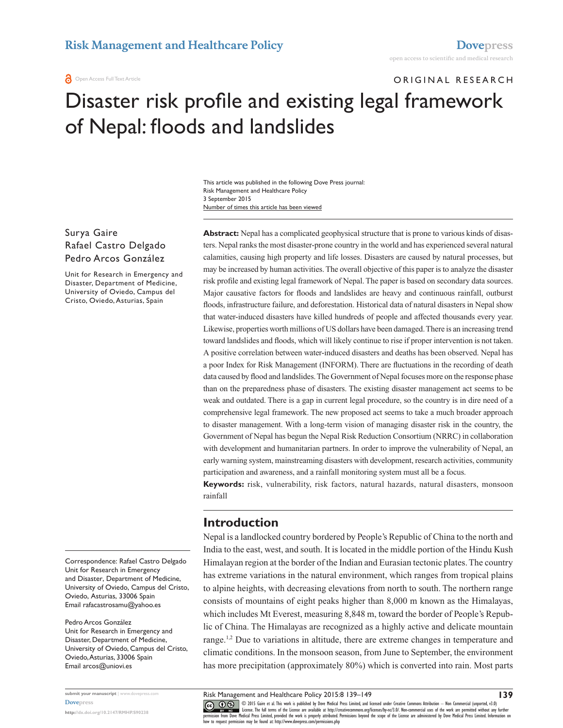# ORIGINAL RESEARCH

# Disaster risk profile and existing legal framework of Nepal: floods and landslides

Number of times this article has been viewed This article was published in the following Dove Press journal: Risk Management and Healthcare Policy 3 September 2015

#### Surya Gaire Rafael Castro Delgado Pedro Arcos González

Unit for Research in Emergency and Disaster, Department of Medicine, University of Oviedo, Campus del Cristo, Oviedo, Asturias, Spain

Correspondence: Rafael Castro Delgado Unit for Research in Emergency and Disaster, Department of Medicine, University of Oviedo, Campus del Cristo, Oviedo, Asturias, 33006 Spain Email [rafacastrosamu@yahoo.e](mailto:rafacastrosamu@yahoo.es)s

Pedro Arcos González Unit for Research in Emergency and Disaster, Department of Medicine, University of Oviedo, Campus del Cristo, Oviedo, Asturias, 33006 Spain Email [arcos@uniovi.e](mailto:arcos@uniovi.es)s

**submit your manuscript** | <www.dovepress.com> **[Dovepress](www.dovepress.com)**

**<http://dx.doi.org/10.2147/RMHP.S90238>**

**Abstract:** Nepal has a complicated geophysical structure that is prone to various kinds of disasters. Nepal ranks the most disaster-prone country in the world and has experienced several natural calamities, causing high property and life losses. Disasters are caused by natural processes, but may be increased by human activities. The overall objective of this paper is to analyze the disaster risk profile and existing legal framework of Nepal. The paper is based on secondary data sources. Major causative factors for floods and landslides are heavy and continuous rainfall, outburst floods, infrastructure failure, and deforestation. Historical data of natural disasters in Nepal show that water-induced disasters have killed hundreds of people and affected thousands every year. Likewise, properties worth millions of US dollars have been damaged. There is an increasing trend toward landslides and floods, which will likely continue to rise if proper intervention is not taken. A positive correlation between water-induced disasters and deaths has been observed. Nepal has a poor Index for Risk Management (INFORM). There are fluctuations in the recording of death data caused by flood and landslides. The Government of Nepal focuses more on the response phase than on the preparedness phase of disasters. The existing disaster management act seems to be weak and outdated. There is a gap in current legal procedure, so the country is in dire need of a comprehensive legal framework. The new proposed act seems to take a much broader approach to disaster management. With a long-term vision of managing disaster risk in the country, the Government of Nepal has begun the Nepal Risk Reduction Consortium (NRRC) in collaboration with development and humanitarian partners. In order to improve the vulnerability of Nepal, an early warning system, mainstreaming disasters with development, research activities, community participation and awareness, and a rainfall monitoring system must all be a focus.

**Keywords:** risk, vulnerability, risk factors, natural hazards, natural disasters, monsoon rainfall

# **Introduction**

Nepal is a landlocked country bordered by People's Republic of China to the north and India to the east, west, and south. It is located in the middle portion of the Hindu Kush Himalayan region at the border of the Indian and Eurasian tectonic plates. The country has extreme variations in the natural environment, which ranges from tropical plains to alpine heights, with decreasing elevations from north to south. The northern range consists of mountains of eight peaks higher than 8,000 m known as the Himalayas, which includes Mt Everest, measuring 8,848 m, toward the border of People's Republic of China. The Himalayas are recognized as a highly active and delicate mountain range.<sup>1,2</sup> Due to variations in altitude, there are extreme changes in temperature and climatic conditions. In the monsoon season, from June to September, the environment has more precipitation (approximately 80%) which is converted into rain. Most parts

Risk Management and Healthcare Policy 2015:8 139–149

CO ODIS Gaire et al. This work is published by Dove Medical Press Limited, and licensed under Creative Commons Attribution - Non Commercial (unported, v3.0)<br> [permission from Dove M](http://www.dovepress.com/permissions.php)edical Press Limited, provided the work is how to request permission may be found at:<http://www.dovepress.com/permissions.php>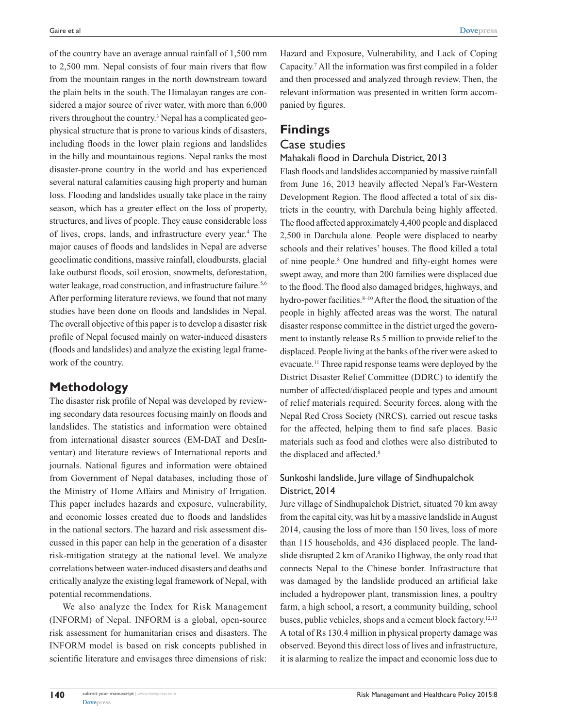of the country have an average annual rainfall of 1,500 mm to 2,500 mm. Nepal consists of four main rivers that flow from the mountain ranges in the north downstream toward the plain belts in the south. The Himalayan ranges are considered a major source of river water, with more than 6,000 rivers throughout the country.3 Nepal has a complicated geophysical structure that is prone to various kinds of disasters, including floods in the lower plain regions and landslides in the hilly and mountainous regions. Nepal ranks the most disaster-prone country in the world and has experienced several natural calamities causing high property and human loss. Flooding and landslides usually take place in the rainy season, which has a greater effect on the loss of property, structures, and lives of people. They cause considerable loss of lives, crops, lands, and infrastructure every year.<sup>4</sup> The major causes of floods and landslides in Nepal are adverse geoclimatic conditions, massive rainfall, cloudbursts, glacial lake outburst floods, soil erosion, snowmelts, deforestation, water leakage, road construction, and infrastructure failure.<sup>5,6</sup> After performing literature reviews, we found that not many studies have been done on floods and landslides in Nepal. The overall objective of this paper is to develop a disaster risk profile of Nepal focused mainly on water-induced disasters (floods and landslides) and analyze the existing legal framework of the country.

#### **Methodology**

The disaster risk profile of Nepal was developed by reviewing secondary data resources focusing mainly on floods and landslides. The statistics and information were obtained from international disaster sources (EM-DAT and DesInventar) and literature reviews of International reports and journals. National figures and information were obtained from Government of Nepal databases, including those of the Ministry of Home Affairs and Ministry of Irrigation. This paper includes hazards and exposure, vulnerability, and economic losses created due to floods and landslides in the national sectors. The hazard and risk assessment discussed in this paper can help in the generation of a disaster risk-mitigation strategy at the national level. We analyze correlations between water-induced disasters and deaths and critically analyze the existing legal framework of Nepal, with potential recommendations.

We also analyze the Index for Risk Management (INFORM) of Nepal. INFORM is a global, open-source risk assessment for humanitarian crises and disasters. The INFORM model is based on risk concepts published in scientific literature and envisages three dimensions of risk:

Hazard and Exposure, Vulnerability, and Lack of Coping Capacity.7 All the information was first compiled in a folder and then processed and analyzed through review. Then, the relevant information was presented in written form accompanied by figures.

### **Findings**

#### Case studies

#### Mahakali flood in Darchula District, 2013

Flash floods and landslides accompanied by massive rainfall from June 16, 2013 heavily affected Nepal's Far-Western Development Region. The flood affected a total of six districts in the country, with Darchula being highly affected. The flood affected approximately 4,400 people and displaced 2,500 in Darchula alone. People were displaced to nearby schools and their relatives' houses. The flood killed a total of nine people.8 One hundred and fifty-eight homes were swept away, and more than 200 families were displaced due to the flood. The flood also damaged bridges, highways, and hydro-power facilities.<sup>8-10</sup> After the flood, the situation of the people in highly affected areas was the worst. The natural disaster response committee in the district urged the government to instantly release Rs 5 million to provide relief to the displaced. People living at the banks of the river were asked to evacuate.11 Three rapid response teams were deployed by the District Disaster Relief Committee (DDRC) to identify the number of affected/displaced people and types and amount of relief materials required. Security forces, along with the Nepal Red Cross Society (NRCS), carried out rescue tasks for the affected, helping them to find safe places. Basic materials such as food and clothes were also distributed to the displaced and affected.<sup>8</sup>

#### Sunkoshi landslide, Jure village of Sindhupalchok District, 2014

Jure village of Sindhupalchok District, situated 70 km away from the capital city, was hit by a massive landslide in August 2014, causing the loss of more than 150 lives, loss of more than 115 households, and 436 displaced people. The landslide disrupted 2 km of Araniko Highway, the only road that connects Nepal to the Chinese border. Infrastructure that was damaged by the landslide produced an artificial lake included a hydropower plant, transmission lines, a poultry farm, a high school, a resort, a community building, school buses, public vehicles, shops and a cement block factory.12,13 A total of Rs 130.4 million in physical property damage was observed. Beyond this direct loss of lives and infrastructure, it is alarming to realize the impact and economic loss due to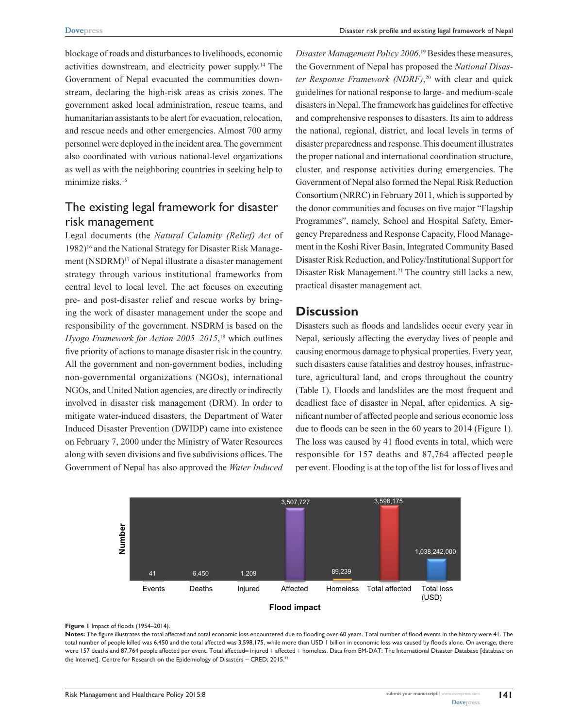blockage of roads and disturbances to livelihoods, economic activities downstream, and electricity power supply.14 The Government of Nepal evacuated the communities downstream, declaring the high-risk areas as crisis zones. The government asked local administration, rescue teams, and humanitarian assistants to be alert for evacuation, relocation, and rescue needs and other emergencies. Almost 700 army personnel were deployed in the incident area. The government also coordinated with various national-level organizations as well as with the neighboring countries in seeking help to minimize risks.<sup>15</sup>

# The existing legal framework for disaster risk management

Legal documents (the *Natural Calamity (Relief) Act* of 1982)16 and the National Strategy for Disaster Risk Management (NSDRM)<sup>17</sup> of Nepal illustrate a disaster management strategy through various institutional frameworks from central level to local level. The act focuses on executing pre- and post-disaster relief and rescue works by bringing the work of disaster management under the scope and responsibility of the government. NSDRM is based on the *Hyogo Framework for Action 2005–2015*, 18 which outlines five priority of actions to manage disaster risk in the country. All the government and non-government bodies, including non-governmental organizations (NGOs), international NGOs, and United Nation agencies, are directly or indirectly involved in disaster risk management (DRM). In order to mitigate water-induced disasters, the Department of Water Induced Disaster Prevention (DWIDP) came into existence on February 7, 2000 under the Ministry of Water Resources along with seven divisions and five subdivisions offices. The Government of Nepal has also approved the *Water Induced* 

*Disaster Management Policy 2006*. 19 Besides these measures, the Government of Nepal has proposed the *National Disaster Response Framework (NDRF)*, 20 with clear and quick guidelines for national response to large- and medium-scale disasters in Nepal. The framework has guidelines for effective and comprehensive responses to disasters. Its aim to address the national, regional, district, and local levels in terms of disaster preparedness and response. This document illustrates the proper national and international coordination structure, cluster, and response activities during emergencies. The Government of Nepal also formed the Nepal Risk Reduction Consortium (NRRC) in February 2011, which is supported by the donor communities and focuses on five major "Flagship Programmes", namely, School and Hospital Safety, Emergency Preparedness and Response Capacity, Flood Management in the Koshi River Basin, Integrated Community Based Disaster Risk Reduction, and Policy/Institutional Support for Disaster Risk Management.<sup>21</sup> The country still lacks a new, practical disaster management act.

### **Discussion**

Disasters such as floods and landslides occur every year in Nepal, seriously affecting the everyday lives of people and causing enormous damage to physical properties. Every year, such disasters cause fatalities and destroy houses, infrastructure, agricultural land, and crops throughout the country (Table 1). Floods and landslides are the most frequent and deadliest face of disaster in Nepal, after epidemics. A significant number of affected people and serious economic loss due to floods can be seen in the 60 years to 2014 (Figure 1). The loss was caused by 41 flood events in total, which were responsible for 157 deaths and 87,764 affected people per event. Flooding is at the top of the list for loss of lives and



**Figure 1** Impact of floods (1954–2014).

Notes: The figure illustrates the total affected and total economic loss encountered due to flooding over 60 years. Total number of flood events in the history were 41. The total number of people killed was 6,450 and the total affected was 3,598,175, while more than USD 1 billion in economic loss was caused by floods alone. On average, there were 157 deaths and 87,764 people affected per event. Total affected= injured + affected + homeless. Data from EM-DAT: The International Disaster Database [database on the Internet]. Centre for Research on the Epidemiology of Disasters - CRED; 2015.<sup>22</sup>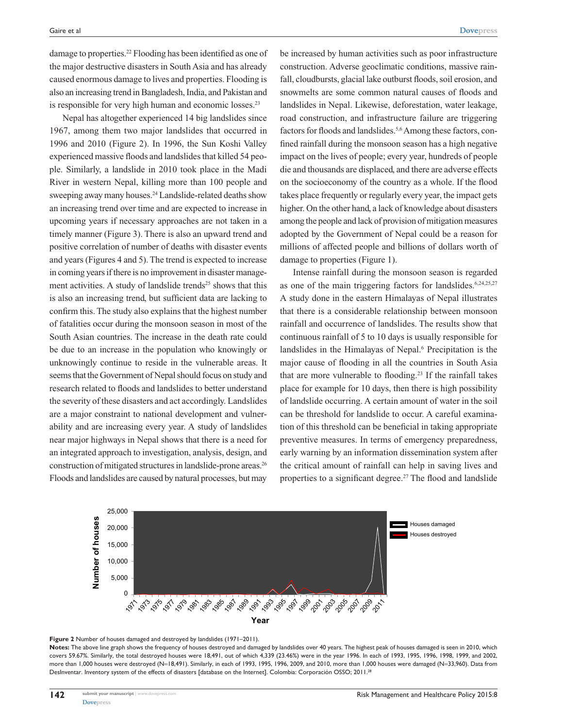**[Dovepress](www.dovepress.com)**

damage to properties.22 Flooding has been identified as one of the major destructive disasters in South Asia and has already caused enormous damage to lives and properties. Flooding is also an increasing trend in Bangladesh, India, and Pakistan and is responsible for very high human and economic losses.<sup>23</sup>

Nepal has altogether experienced 14 big landslides since 1967, among them two major landslides that occurred in 1996 and 2010 (Figure 2). In 1996, the Sun Koshi Valley experienced massive floods and landslides that killed 54 people. Similarly, a landslide in 2010 took place in the Madi River in western Nepal, killing more than 100 people and sweeping away many houses.<sup>24</sup> Landslide-related deaths show an increasing trend over time and are expected to increase in upcoming years if necessary approaches are not taken in a timely manner (Figure 3). There is also an upward trend and positive correlation of number of deaths with disaster events and years (Figures 4 and 5). The trend is expected to increase in coming years if there is no improvement in disaster management activities. A study of landslide trends<sup>25</sup> shows that this is also an increasing trend, but sufficient data are lacking to confirm this. The study also explains that the highest number of fatalities occur during the monsoon season in most of the South Asian countries. The increase in the death rate could be due to an increase in the population who knowingly or unknowingly continue to reside in the vulnerable areas. It seems that the Government of Nepal should focus on study and research related to floods and landslides to better understand the severity of these disasters and act accordingly. Landslides are a major constraint to national development and vulnerability and are increasing every year. A study of landslides near major highways in Nepal shows that there is a need for an integrated approach to investigation, analysis, design, and construction of mitigated structures in landslide-prone areas.<sup>26</sup> Floods and landslides are caused by natural processes, but may

be increased by human activities such as poor infrastructure construction. Adverse geoclimatic conditions, massive rainfall, cloudbursts, glacial lake outburst floods, soil erosion, and snowmelts are some common natural causes of floods and landslides in Nepal. Likewise, deforestation, water leakage, road construction, and infrastructure failure are triggering factors for floods and landslides.<sup>5,6</sup> Among these factors, confined rainfall during the monsoon season has a high negative impact on the lives of people; every year, hundreds of people die and thousands are displaced, and there are adverse effects on the socioeconomy of the country as a whole. If the flood takes place frequently or regularly every year, the impact gets higher. On the other hand, a lack of knowledge about disasters among the people and lack of provision of mitigation measures adopted by the Government of Nepal could be a reason for millions of affected people and billions of dollars worth of damage to properties (Figure 1).

Intense rainfall during the monsoon season is regarded as one of the main triggering factors for landslides. $6,24,25,27$ A study done in the eastern Himalayas of Nepal illustrates that there is a considerable relationship between monsoon rainfall and occurrence of landslides. The results show that continuous rainfall of 5 to 10 days is usually responsible for landslides in the Himalayas of Nepal.<sup>6</sup> Precipitation is the major cause of flooding in all the countries in South Asia that are more vulnerable to flooding.23 If the rainfall takes place for example for 10 days, then there is high possibility of landslide occurring. A certain amount of water in the soil can be threshold for landslide to occur. A careful examination of this threshold can be beneficial in taking appropriate preventive measures. In terms of emergency preparedness, early warning by an information dissemination system after the critical amount of rainfall can help in saving lives and properties to a significant degree.<sup>27</sup> The flood and landslide





**Notes:** The above line graph shows the frequency of houses destroyed and damaged by landslides over 40 years. The highest peak of houses damaged is seen in 2010, which covers 59.67%. Similarly, the total destroyed houses were 18,491, out of which 4,339 (23.46%) were in the year 1996. In each of 1993, 1995, 1996, 1998, 1999, and 2002, more than 1,000 houses were destroyed (N=18,491). Similarly, in each of 1993, 1995, 1996, 2009, and 2010, more than 1,000 houses were damaged (N=33,960). Data from DesInventar. Inventory system of the effects of disasters [database on the Internet]. Colombia: Corporación OSSO; 2011.28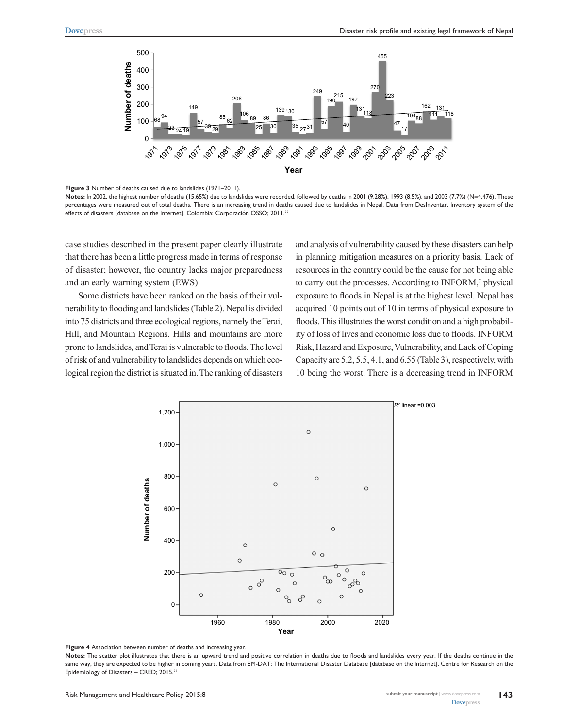

**Figure 3** Number of deaths caused due to landslides (1971–2011).

**Notes:** In 2002, the highest number of deaths (15.65%) due to landslides were recorded, followed by deaths in 2001 (9.28%), 1993 (8.5%), and 2003 (7.7%) (N=4,476). These percentages were measured out of total deaths. There is an increasing trend in deaths caused due to landslides in Nepal. Data from DesInventar. Inventory system of the effects of disasters [database on the Internet]. Colombia: Corporación OSSO; 2011.<sup>22</sup>

case studies described in the present paper clearly illustrate that there has been a little progress made in terms of response of disaster; however, the country lacks major preparedness and an early warning system (EWS).

Some districts have been ranked on the basis of their vulnerability to flooding and landslides (Table 2). Nepal is divided into 75 districts and three ecological regions, namely the Terai, Hill, and Mountain Regions. Hills and mountains are more prone to landslides, and Terai is vulnerable to floods. The level of risk of and vulnerability to landslides depends on which ecological region the district is situated in. The ranking of disasters and analysis of vulnerability caused by these disasters can help in planning mitigation measures on a priority basis. Lack of resources in the country could be the cause for not being able to carry out the processes. According to INFORM,<sup>7</sup> physical exposure to floods in Nepal is at the highest level. Nepal has acquired 10 points out of 10 in terms of physical exposure to floods. This illustrates the worst condition and a high probability of loss of lives and economic loss due to floods. INFORM Risk, Hazard and Exposure, Vulnerability, and Lack of Coping Capacity are 5.2, 5.5, 4.1, and 6.55 (Table 3), respectively, with 10 being the worst. There is a decreasing trend in INFORM



**Figure 4** Association between number of deaths and increasing year.

**Notes:** The scatter plot illustrates that there is an upward trend and positive correlation in deaths due to floods and landslides every year. If the deaths continue in the same way, they are expected to be higher in coming years. Data from EM-DAT: The International Disaster Database [database on the Internet]. Centre for Research on the Epidemiology of Disasters – CRED; 2015.<sup>22</sup>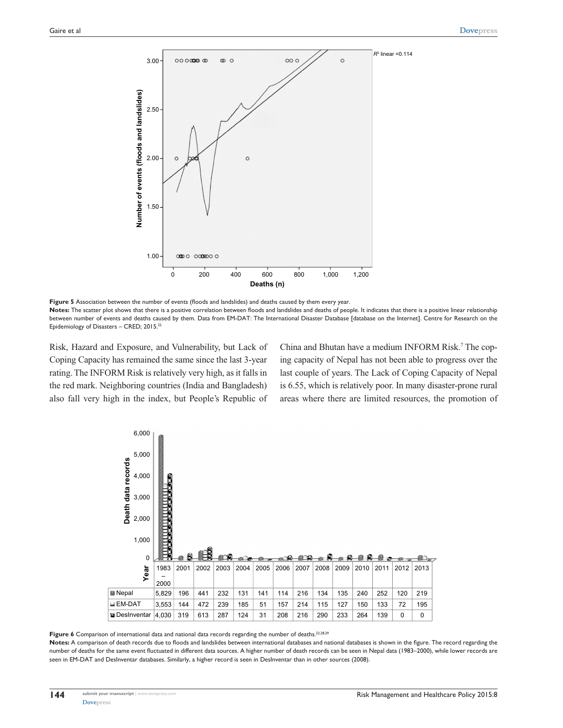

**Figure 5** Association between the number of events (floods and landslides) and deaths caused by them every year.

**Notes:** The scatter plot shows that there is a positive correlation between floods and landslides and deaths of people. It indicates that there is a positive linear relationship between number of events and deaths caused by them. Data from EM-DAT: The International Disaster Database [database on the Internet]. Centre for Research on the Epidemiology of Disasters - CRED; 2015.<sup>22</sup>

Risk, Hazard and Exposure, and Vulnerability, but Lack of Coping Capacity has remained the same since the last 3-year rating. The INFORM Risk is relatively very high, as it falls in the red mark. Neighboring countries (India and Bangladesh) also fall very high in the index, but People's Republic of

China and Bhutan have a medium INFORM Risk.<sup>7</sup> The coping capacity of Nepal has not been able to progress over the last couple of years. The Lack of Coping Capacity of Nepal is 6.55, which is relatively poor. In many disaster-prone rural areas where there are limited resources, the promotion of



Figure 6 Comparison of international data and national data records regarding the number of deaths.<sup>22,28,29</sup>

Notes: A comparison of death records due to floods and landslides between international databases and national databases is shown in the figure. The record regarding the number of deaths for the same event fluctuated in different data sources. A higher number of death records can be seen in Nepal data (1983–2000), while lower records are seen in EM-DAT and DesInventar databases. Similarly, a higher record is seen in DesInventar than in other sources (2008).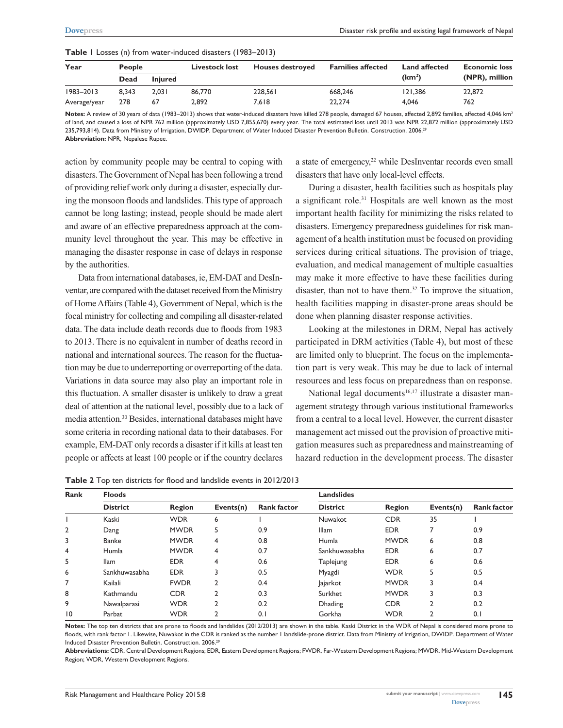| Year          | <b>People</b> |                | Livestock lost | <b>Houses destroyed</b> | <b>Families affected</b> | <b>Land affected</b> | <b>Economic loss</b> |
|---------------|---------------|----------------|----------------|-------------------------|--------------------------|----------------------|----------------------|
|               | Dead          | <b>Injured</b> |                |                         |                          | (km <sup>2</sup> )   | (NPR), million       |
| $1983 - 2013$ | 8.343         | 2.031          | 86,770         | 228.561                 | 668,246                  | 121.386              | 22,872               |
| Average/year  | 278           | 67             | 2.892          | 7.618                   | 22,274                   | 4.046                | 762                  |

**Table 1** Losses (n) from water-induced disasters (1983–2013)

Notes: A review of 30 years of data (1983–2013) shows that water-induced disasters have killed 278 people, damaged 67 houses, affected 2,892 families, affected 4,046 km<sup>2</sup> of land, and caused a loss of NPR 762 million (approximately USD 7,855,670) every year. The total estimated loss until 2013 was NPR 22,872 million (approximately USD 235,793,814). Data from Ministry of Irrigation, DWIDP. Department of Water Induced Disaster Prevention Bulletin. Construction. 2006.<sup>29</sup> **Abbreviation:** NPR, Nepalese Rupee.

action by community people may be central to coping with disasters. The Government of Nepal has been following a trend of providing relief work only during a disaster, especially during the monsoon floods and landslides. This type of approach cannot be long lasting; instead, people should be made alert and aware of an effective preparedness approach at the community level throughout the year. This may be effective in managing the disaster response in case of delays in response by the authorities.

Data from international databases, ie, EM-DAT and DesInventar, are compared with the dataset received from the Ministry of Home Affairs (Table 4), Government of Nepal, which is the focal ministry for collecting and compiling all disaster-related data. The data include death records due to floods from 1983 to 2013. There is no equivalent in number of deaths record in national and international sources. The reason for the fluctuation may be due to underreporting or overreporting of the data. Variations in data source may also play an important role in this fluctuation. A smaller disaster is unlikely to draw a great deal of attention at the national level, possibly due to a lack of media attention.30 Besides, international databases might have some criteria in recording national data to their databases. For example, EM-DAT only records a disaster if it kills at least ten people or affects at least 100 people or if the country declares

a state of emergency,<sup>22</sup> while DesInventar records even small disasters that have only local-level effects.

During a disaster, health facilities such as hospitals play a significant role.31 Hospitals are well known as the most important health facility for minimizing the risks related to disasters. Emergency preparedness guidelines for risk management of a health institution must be focused on providing services during critical situations. The provision of triage, evaluation, and medical management of multiple casualties may make it more effective to have these facilities during disaster, than not to have them.32 To improve the situation, health facilities mapping in disaster-prone areas should be done when planning disaster response activities.

Looking at the milestones in DRM, Nepal has actively participated in DRM activities (Table 4), but most of these are limited only to blueprint. The focus on the implementation part is very weak. This may be due to lack of internal resources and less focus on preparedness than on response.

National legal documents<sup>16,17</sup> illustrate a disaster management strategy through various institutional frameworks from a central to a local level. However, the current disaster management act missed out the provision of proactive mitigation measures such as preparedness and mainstreaming of hazard reduction in the development process. The disaster

| Table 2 Top ten districts for flood and landslide events in 2012/2013 |  |
|-----------------------------------------------------------------------|--|
|-----------------------------------------------------------------------|--|

| Rank | <b>Floods</b>   |             |           |                    | <b>Landslides</b> |             |              |                    |
|------|-----------------|-------------|-----------|--------------------|-------------------|-------------|--------------|--------------------|
|      | <b>District</b> | Region      | Events(n) | <b>Rank factor</b> | <b>District</b>   | Region      | Events $(n)$ | <b>Rank factor</b> |
|      | Kaski           | <b>WDR</b>  | 6         |                    | <b>Nuwakot</b>    | <b>CDR</b>  | 35           |                    |
| 2    | Dang            | <b>MWDR</b> | 5         | 0.9                | <b>Illam</b>      | <b>EDR</b>  |              | 0.9                |
| 3    | <b>Banke</b>    | <b>MWDR</b> | 4         | 0.8                | Humla             | <b>MWDR</b> | 6            | 0.8                |
| 4    | Humla           | <b>MWDR</b> | 4         | 0.7                | Sankhuwasabha     | <b>EDR</b>  | 6            | 0.7                |
| 5    | <b>Ilam</b>     | <b>EDR</b>  | 4         | 0.6                | Taplejung         | <b>EDR</b>  | 6            | 0.6                |
| 6    | Sankhuwasabha   | <b>EDR</b>  |           | 0.5                | Myagdi            | <b>WDR</b>  | э            | 0.5                |
| 7    | Kailali         | <b>FWDR</b> | 2         | 0.4                | lajarkot          | <b>MWDR</b> | 3            | 0.4                |
| 8    | Kathmandu       | <b>CDR</b>  | 2         | 0.3                | Surkhet           | <b>MWDR</b> | 3            | 0.3                |
| 9    | Nawalparasi     | <b>WDR</b>  | 2         | 0.2                | <b>Dhading</b>    | <b>CDR</b>  | C.           | 0.2                |
| 10   | Parbat          | <b>WDR</b>  |           | 0.1                | Gorkha            | <b>WDR</b>  |              | 0.1                |

**Notes:** The top ten districts that are prone to floods and landslides (2012/2013) are shown in the table. Kaski District in the WDR of Nepal is considered more prone to floods, with rank factor 1. Likewise, Nuwakot in the CDR is ranked as the number 1 landslide-prone district. Data from Ministry of Irrigation, DWIDP. Department of Water Induced Disaster Prevention Bulletin. Construction. 2006.29

**Abbreviations:** CDR, Central Development Regions; EDR, Eastern Development Regions; FWDR, Far-Western Development Regions; MWDR, Mid-Western Development Region; WDR, Western Development Regions.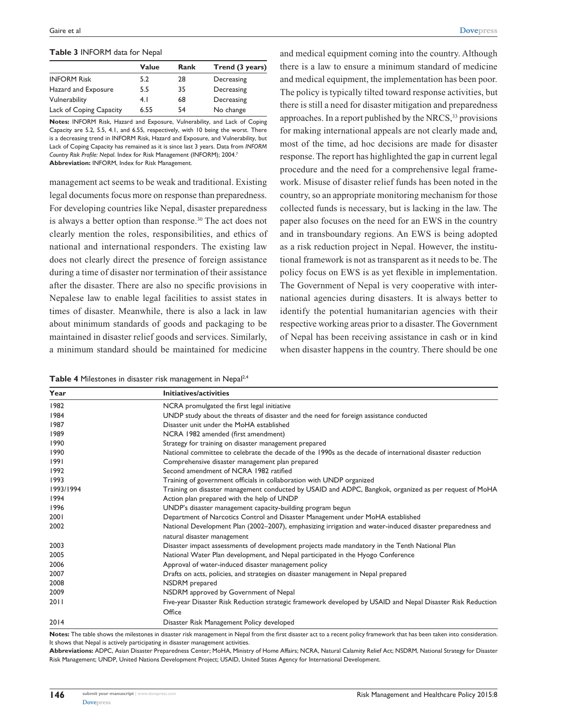#### **Table 3** INFORM data for Nepal

|                         | Value | Rank | Trend (3 years) |
|-------------------------|-------|------|-----------------|
| <b>INFORM Risk</b>      | 5.2   | 28   | Decreasing      |
| Hazard and Exposure     | 5.5   | 35   | Decreasing      |
| Vulnerability           | 4. I  | 68   | Decreasing      |
| Lack of Coping Capacity | 6.55  | 54   | No change       |

**Notes:** INFORM Risk, Hazard and Exposure, Vulnerability, and Lack of Coping Capacity are 5.2, 5.5, 4.1, and 6.55, respectively, with 10 being the worst. There is a decreasing trend in INFORM Risk, Hazard and Exposure, and Vulnerability, but Lack of Coping Capacity has remained as it is since last 3 years. Data from *INFORM Country Risk Profile: Nepal*. Index for Risk Management (INFORM); 2004.7 **Abbreviation:** INFORM, Index for Risk Management.

management act seems to be weak and traditional. Existing legal documents focus more on response than preparedness. For developing countries like Nepal, disaster preparedness is always a better option than response.30 The act does not clearly mention the roles, responsibilities, and ethics of national and international responders. The existing law does not clearly direct the presence of foreign assistance during a time of disaster nor termination of their assistance after the disaster. There are also no specific provisions in Nepalese law to enable legal facilities to assist states in times of disaster. Meanwhile, there is also a lack in law about minimum standards of goods and packaging to be maintained in disaster relief goods and services. Similarly, a minimum standard should be maintained for medicine and medical equipment coming into the country. Although there is a law to ensure a minimum standard of medicine and medical equipment, the implementation has been poor. The policy is typically tilted toward response activities, but there is still a need for disaster mitigation and preparedness approaches. In a report published by the NRCS,  $33$  provisions for making international appeals are not clearly made and, most of the time, ad hoc decisions are made for disaster response. The report has highlighted the gap in current legal procedure and the need for a comprehensive legal framework. Misuse of disaster relief funds has been noted in the country, so an appropriate monitoring mechanism for those collected funds is necessary, but is lacking in the law. The paper also focuses on the need for an EWS in the country and in transboundary regions. An EWS is being adopted as a risk reduction project in Nepal. However, the institutional framework is not as transparent as it needs to be. The policy focus on EWS is as yet flexible in implementation. The Government of Nepal is very cooperative with international agencies during disasters. It is always better to identify the potential humanitarian agencies with their respective working areas prior to a disaster. The Government of Nepal has been receiving assistance in cash or in kind when disaster happens in the country. There should be one

**Table 4** Milestones in disaster risk management in Nepal<sup>2,4</sup>

| Year      | Initiatives/activities                                                                                     |  |  |  |
|-----------|------------------------------------------------------------------------------------------------------------|--|--|--|
| 1982      | NCRA promulgated the first legal initiative                                                                |  |  |  |
| 1984      | UNDP study about the threats of disaster and the need for foreign assistance conducted                     |  |  |  |
| 1987      | Disaster unit under the MoHA established                                                                   |  |  |  |
| 1989      | NCRA 1982 amended (first amendment)                                                                        |  |  |  |
| 1990      | Strategy for training on disaster management prepared                                                      |  |  |  |
| 1990      | National committee to celebrate the decade of the 1990s as the decade of international disaster reduction  |  |  |  |
| 1991      | Comprehensive disaster management plan prepared                                                            |  |  |  |
| 1992      | Second amendment of NCRA 1982 ratified                                                                     |  |  |  |
| 1993      | Training of government officials in collaboration with UNDP organized                                      |  |  |  |
| 1993/1994 | Training on disaster management conducted by USAID and ADPC, Bangkok, organized as per request of MoHA     |  |  |  |
| 1994      | Action plan prepared with the help of UNDP                                                                 |  |  |  |
| 1996      | UNDP's disaster management capacity-building program begun                                                 |  |  |  |
| 2001      | Department of Narcotics Control and Disaster Management under MoHA established                             |  |  |  |
| 2002      | National Development Plan (2002–2007), emphasizing irrigation and water-induced disaster preparedness and  |  |  |  |
|           | natural disaster management                                                                                |  |  |  |
| 2003      | Disaster impact assessments of development projects made mandatory in the Tenth National Plan              |  |  |  |
| 2005      | National Water Plan development, and Nepal participated in the Hyogo Conference                            |  |  |  |
| 2006      | Approval of water-induced disaster management policy                                                       |  |  |  |
| 2007      | Drafts on acts, policies, and strategies on disaster management in Nepal prepared                          |  |  |  |
| 2008      | NSDRM prepared                                                                                             |  |  |  |
| 2009      | NSDRM approved by Government of Nepal                                                                      |  |  |  |
| 2011      | Five-year Disaster Risk Reduction strategic framework developed by USAID and Nepal Disaster Risk Reduction |  |  |  |
|           | Office                                                                                                     |  |  |  |
| 2014      | Disaster Risk Management Policy developed                                                                  |  |  |  |

**Notes:** The table shows the milestones in disaster risk management in Nepal from the first disaster act to a recent policy framework that has been taken into consideration. It shows that Nepal is actively participating in disaster management activities.

**Abbreviations:** ADPC, Asian Disaster Preparedness Center; MoHA, Ministry of Home Affairs; NCRA, Natural Calamity Relief Act; NSDRM, National Strategy for Disaster Risk Management; UNDP, United Nations Development Project; USAID, United States Agency for International Development.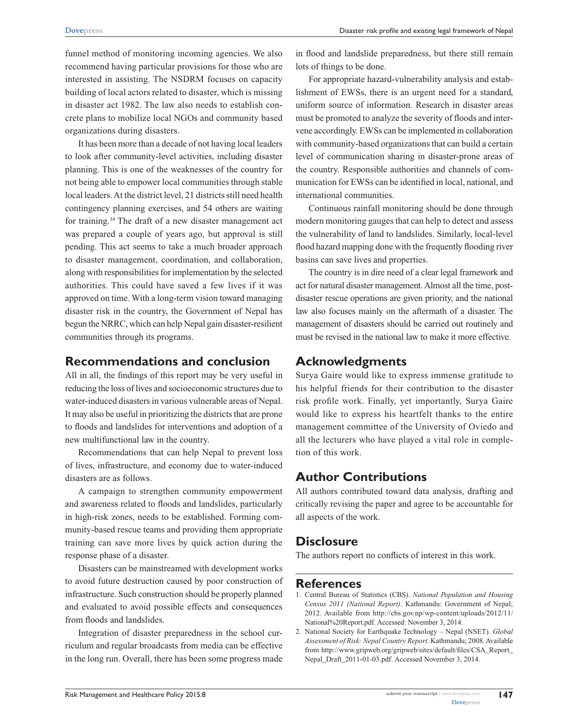funnel method of monitoring incoming agencies. We also recommend having particular provisions for those who are interested in assisting. The NSDRM focuses on capacity building of local actors related to disaster, which is missing in disaster act 1982. The law also needs to establish concrete plans to mobilize local NGOs and community based organizations during disasters.

It has been more than a decade of not having local leaders to look after community-level activities, including disaster planning. This is one of the weaknesses of the country for not being able to empower local communities through stable local leaders. At the district level, 21 districts still need health contingency planning exercises, and 54 others are waiting for training.34 The draft of a new disaster management act was prepared a couple of years ago, but approval is still pending. This act seems to take a much broader approach to disaster management, coordination, and collaboration, along with responsibilities for implementation by the selected authorities. This could have saved a few lives if it was approved on time. With a long-term vision toward managing disaster risk in the country, the Government of Nepal has begun the NRRC, which can help Nepal gain disaster-resilient communities through its programs.

#### **Recommendations and conclusion**

All in all, the findings of this report may be very useful in reducing the loss of lives and socioeconomic structures due to water-induced disasters in various vulnerable areas of Nepal. It may also be useful in prioritizing the districts that are prone to floods and landslides for interventions and adoption of a new multifunctional law in the country.

Recommendations that can help Nepal to prevent loss of lives, infrastructure, and economy due to water-induced disasters are as follows.

A campaign to strengthen community empowerment and awareness related to floods and landslides, particularly in high-risk zones, needs to be established. Forming community-based rescue teams and providing them appropriate training can save more lives by quick action during the response phase of a disaster.

Disasters can be mainstreamed with development works to avoid future destruction caused by poor construction of infrastructure. Such construction should be properly planned and evaluated to avoid possible effects and consequences from floods and landslides.

Integration of disaster preparedness in the school curriculum and regular broadcasts from media can be effective in the long run. Overall, there has been some progress made in flood and landslide preparedness, but there still remain lots of things to be done.

For appropriate hazard-vulnerability analysis and establishment of EWSs, there is an urgent need for a standard, uniform source of information. Research in disaster areas must be promoted to analyze the severity of floods and intervene accordingly. EWSs can be implemented in collaboration with community-based organizations that can build a certain level of communication sharing in disaster-prone areas of the country. Responsible authorities and channels of communication for EWSs can be identified in local, national, and international communities.

Continuous rainfall monitoring should be done through modern monitoring gauges that can help to detect and assess the vulnerability of land to landslides. Similarly, local-level flood hazard mapping done with the frequently flooding river basins can save lives and properties.

The country is in dire need of a clear legal framework and act for natural disaster management. Almost all the time, postdisaster rescue operations are given priority, and the national law also focuses mainly on the aftermath of a disaster. The management of disasters should be carried out routinely and must be revised in the national law to make it more effective.

### **Acknowledgments**

Surya Gaire would like to express immense gratitude to his helpful friends for their contribution to the disaster risk profile work. Finally, yet importantly, Surya Gaire would like to express his heartfelt thanks to the entire management committee of the University of Oviedo and all the lecturers who have played a vital role in completion of this work.

# **Author Contributions**

All authors contributed toward data analysis, drafting and critically revising the paper and agree to be accountable for all aspects of the work.

# **Disclosure**

The authors report no conflicts of interest in this work.

#### **References**

- 1. Central Bureau of Statistics (CBS). *National Population and Housing Census 2011 (National Report)*. Kathmandu: Government of Nepal; 2012. Available from [http://cbs.gov.np/wp-content/uploads/2012/11/](http://cbs.gov.np/wp-content/uploads/2012/11/National%20Report.pdf) [National%20Report.pdf.](http://cbs.gov.np/wp-content/uploads/2012/11/National%20Report.pdf) Accessed: November 3, 2014.
- 2. National Society for Earthquake Technology Nepal (NSET). *Global Assessment of Risk: Nepal Country Report*. Kathmandu; 2008. Available from [http://www.gripweb.org/gripweb/sites/default/files/CSA\\_Report\\_](http://www.gripweb.org/gripweb/sites/default/files/CSA_Report_Nepal_Draft_2011-01-03.pdf) [Nepal\\_Draft\\_2011-01-03.pdf.](http://www.gripweb.org/gripweb/sites/default/files/CSA_Report_Nepal_Draft_2011-01-03.pdf) Accessed November 3, 2014.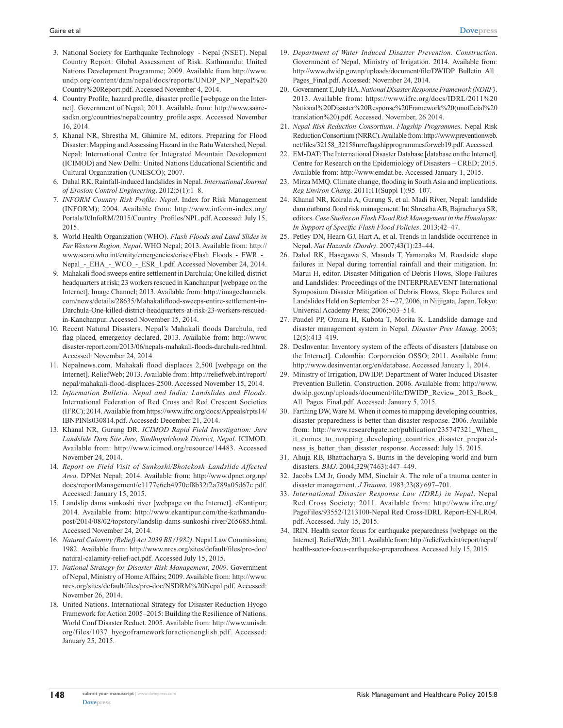- 3. National Society for Earthquake Technology Nepal (NSET). Nepal Country Report: Global Assessment of Risk. Kathmandu: United Nations Development Programme; 2009. Available from [http://www.](http://www.undp.org/content/dam/nepal/docs/reports/UNDP_NP_Nepal%20Country%20Report.pdf) [undp.org/content/dam/nepal/docs/reports/UNDP\\_NP\\_Nepal%20](http://www.undp.org/content/dam/nepal/docs/reports/UNDP_NP_Nepal%20Country%20Report.pdf) [Country%20Report.pdf](http://www.undp.org/content/dam/nepal/docs/reports/UNDP_NP_Nepal%20Country%20Report.pdf). Accessed November 4, 2014.
- 4. Country Profile, hazard profile, disaster profile [webpage on the Internet]. Government of Nepal; 2011. Available from: [http://www.saarc](http://www.saarc-sadkn.org/countries/nepal/country_profile.aspx)[sadkn.org/countries/nepal/country\\_profile.aspx](http://www.saarc-sadkn.org/countries/nepal/country_profile.aspx). Accessed November 16, 2014.
- 5. Khanal NR, Shrestha M, Ghimire M, editors. Preparing for Flood Disaster: Mapping and Assessing Hazard in the Ratu Watershed, Nepal. Nepal: International Centre for Integrated Mountain Development (ICIMOD) and New Delhi: United Nations Educational Scientific and Cultural Organization (UNESCO); 2007.
- 6. Dahal RK. Rainfall-induced landslides in Nepal. *International Journal of Erosion Control Engineering*. 2012;5(1):1–8.
- 7. *INFORM Country Risk Profile: Nepal*. Index for Risk Management (INFORM); 2004. Available from: [http://www.inform-index.org/](http://www.inform-index.org/Portals/0/InfoRM/2015/Country_Profiles/NPL.pdf) [Portals/0/InfoRM/2015/Country\\_Profiles/NPL.pdf.](http://www.inform-index.org/Portals/0/InfoRM/2015/Country_Profiles/NPL.pdf) Accessed: July 15, 2015.
- 8. World Health Organization (WHO). *Flash Floods and Land Slides in Far Western Region, Nepal*. WHO Nepal; 2013. Available from: [http://](http://www.searo.who.int/entity/emergencies/crises/Flash_Floods_-_FWR_-_Nepal_-_EHA_-_WCO_-_ESR_1.pdf) [www.searo.who.int/entity/emergencies/crises/Flash\\_Floods\\_-\\_FWR\\_-\\_](http://www.searo.who.int/entity/emergencies/crises/Flash_Floods_-_FWR_-_Nepal_-_EHA_-_WCO_-_ESR_1.pdf) [Nepal\\_-\\_EHA\\_-\\_WCO\\_-\\_ESR\\_1.pdf](http://www.searo.who.int/entity/emergencies/crises/Flash_Floods_-_FWR_-_Nepal_-_EHA_-_WCO_-_ESR_1.pdf). Accessed November 24, 2014.
- 9. Mahakali flood sweeps entire settlement in Darchula; One killed, district headquarters at risk; 23 workers rescued in Kanchanpur [webpage on the Internet]. Image Channel; 2013. Available from: [http://imagechannels.](http://imagechannels.com/news/details/28635/Mahakaliflood-sweeps-entire-settlement-in-Darchula-One-killed-district-headquarters-at-risk-23-workers-rescued-in-Kanchanpur) [com/news/details/28635/Mahakaliflood-sweeps-entire-settlement-in-](http://imagechannels.com/news/details/28635/Mahakaliflood-sweeps-entire-settlement-in-Darchula-One-killed-district-headquarters-at-risk-23-workers-rescued-in-Kanchanpur)[Darchula-One-killed-district-headquarters-at-risk-23-workers-rescued](http://imagechannels.com/news/details/28635/Mahakaliflood-sweeps-entire-settlement-in-Darchula-One-killed-district-headquarters-at-risk-23-workers-rescued-in-Kanchanpur)[in-Kanchanpur](http://imagechannels.com/news/details/28635/Mahakaliflood-sweeps-entire-settlement-in-Darchula-One-killed-district-headquarters-at-risk-23-workers-rescued-in-Kanchanpur). Accessed November 15, 2014.
- 10. Recent Natural Disasters. Nepal's Mahakali floods Darchula, red flag placed, emergency declared. 2013. Available from: [http://www.](http://www.disaster-report.com/2013/06/nepals-mahakali-floods-darchula-red.html) [disaster-report.com/2013/06/nepals-mahakali-floods-darchula-red.html](http://www.disaster-report.com/2013/06/nepals-mahakali-floods-darchula-red.html). Accessed: November 24, 2014.
- 11. Nepalnews.com. Mahakali flood displaces 2,500 [webpage on the Internet]. ReliefWeb; 2013. Available from: [http://reliefweb.int/report/](http://reliefweb.int/report/nepal/mahakali-flood-displaces-2500) [nepal/mahakali-flood-displaces-2500](http://reliefweb.int/report/nepal/mahakali-flood-displaces-2500). Accessed November 15, 2014.
- 12. *Information Bulletin*. *Nepal and India: Landslides and Floods*. International Federation of Red Cross and Red Crescent Societies (IFRC); 2014. Available from [https://www.ifrc.org/docs/Appeals/rpts14/](https://www.ifrc.org/docs/Appeals/rpts14/IBNPINls030814.pdf) [IBNPINls030814.pdf.](https://www.ifrc.org/docs/Appeals/rpts14/IBNPINls030814.pdf) Accessed: December 21, 2014.
- 13. Khanal NR, Gurung DR. *ICIMOD Rapid Field Investigation: Jure Landslide Dam Site Jure, Sindhupalchowk District, Nepal*. ICIMOD. Available from: <http://www.icimod.org/resource/14483>. Accessed November 24, 2014.
- 14. *Report on Field Visit of Sunkoshi/Bhotekosh Landslide Affected Area*. DPNet Nepal; 2014. Available from: [http://www.dpnet.org.np/](http://www.dpnet.org.np/docs/reportManagement/c1177e6cb4970cf8b32f2a789a05d67c.pdf) [docs/reportManagement/c1177e6cb4970cf8b32f2a789a05d67c.pdf](http://www.dpnet.org.np/docs/reportManagement/c1177e6cb4970cf8b32f2a789a05d67c.pdf). Accessed: January 15, 2015.
- 15. Landslip dams sunkoshi river [webpage on the Internet]. eKantipur; 2014. Available from: [http://www.ekantipur.com/the-kathmandu](http://www.ekantipur.com/the-kathmandu-post/2014/08/02/topstory/landslip-dams-sunkoshi-river/265685.html)[post/2014/08/02/topstory/landslip-dams-sunkoshi-river/265685.html](http://www.ekantipur.com/the-kathmandu-post/2014/08/02/topstory/landslip-dams-sunkoshi-river/265685.html). Accessed November 24, 2014.
- 16. *Natural Calamity (Relief) Act 2039 BS (1982)*. Nepal Law Commission; 1982. Available from: [http://www.nrcs.org/sites/default/files/pro-doc/](http://www.nrcs.org/sites/default/files/pro-doc/natural-calamity-relief-act.pdf) [natural-calamity-relief-act.pdf](http://www.nrcs.org/sites/default/files/pro-doc/natural-calamity-relief-act.pdf). Accessed July 15, 2015.
- 17. *National Strategy for Disaster Risk Management*, *2009*. Government of Nepal, Ministry of Home Affairs; 2009. Available from: [http://www.](http://www.nrcs.org/sites/default/files/pro-doc/NSDRM%20Nepal.pdf) [nrcs.org/sites/default/files/pro-doc/NSDRM%20Nepal.pdf](http://www.nrcs.org/sites/default/files/pro-doc/NSDRM%20Nepal.pdf). Accessed: November 26, 2014.
- 18. United Nations. International Strategy for Disaster Reduction Hyogo Framework for Action 2005–2015: Building the Resilience of Nations. World Conf Disaster Reduct. 2005. Available from: [http://www.unisdr.](http://www.unisdr.org/files/1037_hyogoframeworkforactionenglish.pdf) [org/files/1037\\_hyogoframeworkforactionenglish.pdf](http://www.unisdr.org/files/1037_hyogoframeworkforactionenglish.pdf). Accessed: January 25, 2015.
- 19. *Department of Water Induced Disaster Prevention. Construction*. Government of Nepal, Ministry of Irrigation. 2014. Available from: [http://www.dwidp.gov.np/uploads/document/file/DWIDP\\_Bulletin\\_All\\_](http://www.dwidp.gov.np/uploads/document/file/DWIDP_Bulletin_All_Pages_Final.pdf) [Pages\\_Final.pdf](http://www.dwidp.gov.np/uploads/document/file/DWIDP_Bulletin_All_Pages_Final.pdf). Accessed: November 24, 2014.
- 20. Government T, July HA. *National Disaster Response Framework (NDRF)*. 2013. Available from: [https://www.ifrc.org/docs/IDRL/2011%20](https://www.ifrc.org/docs/IDRL/2011%20National%20Disaster%20Response%20Framework%20(unofficial%20translation%20).pdf) [National%20Disaster%20Response%20Framework%20\(unofficial%20](https://www.ifrc.org/docs/IDRL/2011%20National%20Disaster%20Response%20Framework%20(unofficial%20translation%20).pdf) [translation%20\).pdf.](https://www.ifrc.org/docs/IDRL/2011%20National%20Disaster%20Response%20Framework%20(unofficial%20translation%20).pdf) Accessed. November, 26 2014.
- 21. *Nepal Risk Reduction Consortium*. *Flagship Programmes*. Nepal Risk Reduction Consortium (NRRC). Available from: [http://www.preventionweb.](http://www.preventionweb.net/files/32158_32158nrrcflagshipprogrammesforweb19.pdf) [net/files/32158\\_32158nrrcflagshipprogrammesforweb19.pdf](http://www.preventionweb.net/files/32158_32158nrrcflagshipprogrammesforweb19.pdf). Accessed.
- 22. EM-DAT: The International Disaster Database [database on the Internet]. Centre for Research on the Epidemiology of Disasters – CRED; 2015. Available from:<http://www.emdat.be>. Accessed January 1, 2015.
- 23. Mirza MMQ. Climate change, flooding in South Asia and implications. *Reg Environ Chang*. 2011;11(Suppl 1):95–107.
- 24. Khanal NR, Koirala A, Gurung S, et al. Madi River, Nepal: landslide dam outburst flood risk management. In: Shrestha AB, Bajracharya SR, editors. *Case Studies on Flash Flood Risk Management in the Himalayas: In Support of Specific Flash Flood Policies*. 2013;42–47.
- 25. Petley DN, Hearn GJ, Hart A, et al. Trends in landslide occurrence in Nepal. *Nat Hazards (Dordr)*. 2007;43(1):23–44.
- 26. Dahal RK, Hasegawa S, Masuda T, Yamanaka M. Roadside slope failures in Nepal during torrential rainfall and their mitigation. In: Marui H, editor. Disaster Mitigation of Debris Flows, Slope Failures and Landslides: Proceedings of the INTERPRAEVENT International Symposium Disaster Mitigation of Debris Flows, Slope Failures and Landslides Held on September 25 --27, 2006, in Niijigata, Japan. Tokyo: Universal Academy Press; 2006;503–514.
- 27. Paudel PP, Omura H, Kubota T, Morita K. Landslide damage and disaster management system in Nepal. *Disaster Prev Manag*. 2003; 12(5):413–419.
- 28. DesInventar. Inventory system of the effects of disasters [database on the Internet]. Colombia: Corporación OSSO; 2011. Available from: <http://www.desinventar.org/en/database>. Accessed January 1, 2014.
- 29. Ministry of Irrigation, DWIDP. Department of Water Induced Disaster Prevention Bulletin. Construction. 2006. Available from: [http://www.](http://www.dwidp.gov.np/uploads/document/file/DWIDP_Review_2013_Book_All_Pages_Final.pdf) [dwidp.gov.np/uploads/document/file/DWIDP\\_Review\\_2013\\_Book\\_](http://www.dwidp.gov.np/uploads/document/file/DWIDP_Review_2013_Book_All_Pages_Final.pdf) [All\\_Pages\\_Final.pdf](http://www.dwidp.gov.np/uploads/document/file/DWIDP_Review_2013_Book_All_Pages_Final.pdf). Accessed: January 5, 2015.
- 30. Farthing DW, Ware M. When it comes to mapping developing countries, disaster preparedness is better than disaster response. 2006. Available from: [http://www.researchgate.net/publication/235747321\\_When\\_](http://www.researchgate.net/publication/235747321_When_it_comes_to_mapping_developing_countries_disaster_preparedness_is_better_than_disaster_response) [it\\_comes\\_to\\_mapping\\_developing\\_countries\\_disaster\\_prepared](http://www.researchgate.net/publication/235747321_When_it_comes_to_mapping_developing_countries_disaster_preparedness_is_better_than_disaster_response)[ness\\_is\\_better\\_than\\_disaster\\_response](http://www.researchgate.net/publication/235747321_When_it_comes_to_mapping_developing_countries_disaster_preparedness_is_better_than_disaster_response). Accessed: July 15. 2015.
- 31. Ahuja RB, Bhattacharya S. Burns in the developing world and burn disasters. *BMJ*. 2004;329(7463):447–449.
- 32. Jacobs LM Jr, Goody MM, Sinclair A. The role of a trauma center in disaster management. *J Trauma*. 1983;23(8):697–701.
- 33. *International Disaster Response Law (IDRL) in Nepal*. Nepal Red Cross Society; 2011. Available from: [http://www.ifrc.org/](http://www.ifrc.org/PageFiles/93552/1213100-Nepal Red Cross-IDRL Report-EN-LR04.pdf) [PageFiles/93552/1213100-Nepal Red Cross-IDRL Report-EN-LR04.](http://www.ifrc.org/PageFiles/93552/1213100-Nepal Red Cross-IDRL Report-EN-LR04.pdf) [pdf](http://www.ifrc.org/PageFiles/93552/1213100-Nepal Red Cross-IDRL Report-EN-LR04.pdf). Accessed. July 15, 2015.
- 34. IRIN. Health sector focus for earthquake preparedness [webpage on the Internet]. ReliefWeb; 2011. Available from: [http://reliefweb.int/report/nepal/](http://reliefweb.int/report/nepal/health-sector-focus-earthquake-preparedness) [health-sector-focus-earthquake-preparedness](http://reliefweb.int/report/nepal/health-sector-focus-earthquake-preparedness). Accessed July 15, 2015.